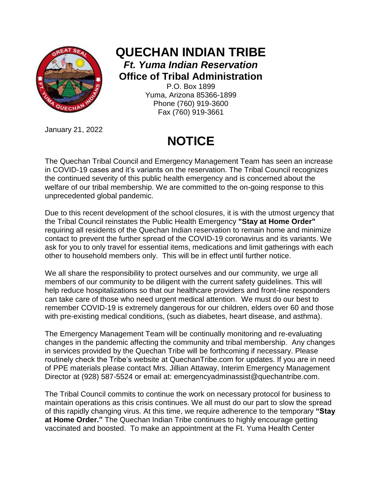

**QUECHAN INDIAN TRIBE** *Ft. Yuma Indian Reservation* **Office of Tribal Administration** P.O. Box 1899

Yuma, Arizona 85366-1899 Phone (760) 919-3600 Fax (760) 919-3661

January 21, 2022

## **NOTICE**

The Quechan Tribal Council and Emergency Management Team has seen an increase in COVID-19 cases and it's variants on the reservation. The Tribal Council recognizes the continued severity of this public health emergency and is concerned about the welfare of our tribal membership. We are committed to the on-going response to this unprecedented global pandemic.

Due to this recent development of the school closures, it is with the utmost urgency that the Tribal Council reinstates the Public Health Emergency **"Stay at Home Order"** requiring all residents of the Quechan Indian reservation to remain home and minimize contact to prevent the further spread of the COVID-19 coronavirus and its variants. We ask for you to only travel for essential items, medications and limit gatherings with each other to household members only. This will be in effect until further notice.

We all share the responsibility to protect ourselves and our community, we urge all members of our community to be diligent with the current safety guidelines. This will help reduce hospitalizations so that our healthcare providers and front-line responders can take care of those who need urgent medical attention. We must do our best to remember COVID-19 is extremely dangerous for our children, elders over 60 and those with pre-existing medical conditions, (such as diabetes, heart disease, and asthma).

The Emergency Management Team will be continually monitoring and re-evaluating changes in the pandemic affecting the community and tribal membership. Any changes in services provided by the Quechan Tribe will be forthcoming if necessary. Please routinely check the Tribe's website at QuechanTribe.com for updates. If you are in need of PPE materials please contact Mrs. Jillian Attaway, Interim Emergency Management Director at (928) 587-5524 or email at: emergencyadminassist@quechantribe.com.

The Tribal Council commits to continue the work on necessary protocol for business to maintain operations as this crisis continues. We all must do our part to slow the spread of this rapidly changing virus. At this time, we require adherence to the temporary **"Stay at Home Order."** The Quechan Indian Tribe continues to highly encourage getting vaccinated and boosted. To make an appointment at the Ft. Yuma Health Center